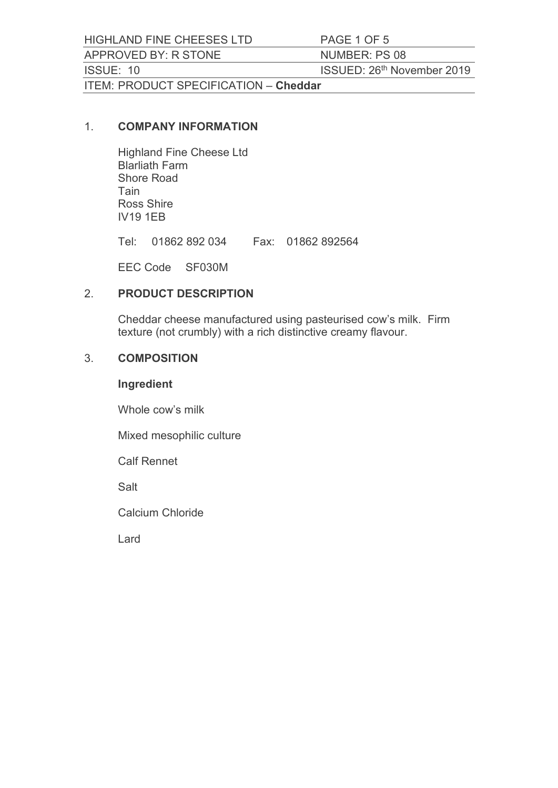HIGHLAND FINE CHEESES LTD PAGE 1 OF 5<br>APPROVED BY: R STONE NUMBER: PS 08<br>ISSUE: 10 ISSUED: 26<sup>th</sup> November 2019<br>ITEM: PRODUCT SPECIFICATION – Cheddar HIGHLAND FINE CHEESES LTD<br>APPROVED BY: R STONE NUMBER: PS 08<br>ISSUE: 10 ISSUED: 26<sup>th</sup> November 2019<br>ITEM: PRODUCT SPECIFICATION – Cheddar HIGHLAND FINE CHEESES LTD PAGE 1 OF 5<br>APPROVED BY: R STONE NUMBER: PS 08<br>ISSUE: 10 ISSUED: 26<sup>th</sup> November 2019<br>ITEM: PRODUCT SPECIFICATION – Cheddar<br>1. **COMPANY INFORMATION** ITEM: PRODUCT SPECIFICATION – Cheddar<br>1. COMPANY INFORMATION

Highland Fine Cheese Ltd Blarliath Farm Shore Road Tain Ross Shire IV19 1EB AND FINE CHEESES LTD<br>
TO VED BY: R STONE<br>
TO THE TEL: 01860 FACTION - Cheddar<br>
FRODUCT SPECIFICATION - Cheddar<br>
COMPANY INFORMATION<br>
Highland Fine Cheese Ltd<br>
Blarliath Farm<br>
Shore Road<br>
Tain<br>
To SS Shire<br>
THE THE TEL: 018

EEC Code SF030M

### 2. PRODUCT DESCRIPTION

Cheddar cheese manufactured using pasteurised cow's milk. Firm texture (not crumbly) with a rich distinctive creamy flavour.

### 3. COMPOSITION

#### Ingredient

Whole cow's milk

Mixed mesophilic culture

Calf Rennet

Salt

Calcium Chloride

Lard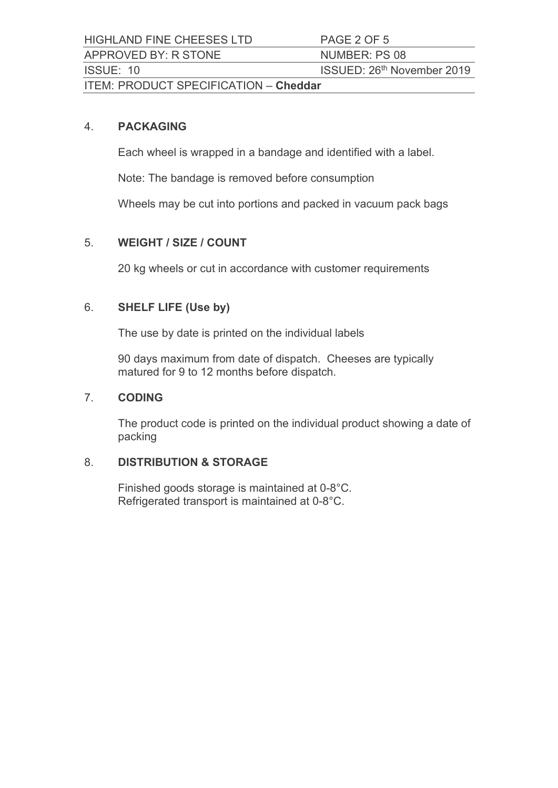HIGHLAND FINE CHEESES LTD PAGE 2 OF 5<br>APPROVED BY: R STONE NUMBER: PS 08<br>ISSUE: 10 ISSUED: 26<sup>th</sup> November 2019<br>ITEM: PRODUCT SPECIFICATION – Cheddar HIGHLAND FINE CHEESES LTD<br>
APPROVED BY: R STONE NUMBER: PS 08<br>
ISSUE: 10 ISSUED: 26<sup>th</sup> November 2019<br>
ITEM: PRODUCT SPECIFICATION – Cheddar HIGHLAND FINE CHEESES LTD PAGE 2 OF 5<br>APPROVED BY: R STONE NUMBER: PS 08<br>ISSUE: 10 ISSUED: 26<sup>th</sup> November 2019<br>ITEM: PRODUCT SPECIFICATION – Cheddar<br>4. **PACKAGING** ITEM: PRODUCT SPECIFICATION – **Cheddar**<br>4. **PACKAGING** 

Each wheel is wrapped in a bandage and identified with a label.

Note: The bandage is removed before consumption

Wheels may be cut into portions and packed in vacuum pack bags

# 5. WEIGHT / SIZE / COUNT

20 kg wheels or cut in accordance with customer requirements

## 6. SHELF LIFE (Use by)

The use by date is printed on the individual labels

90 days maximum from date of dispatch. Cheeses are typically matured for 9 to 12 months before dispatch.

### 7. CODING

The product code is printed on the individual product showing a date of packing 20 kg wheels or cut in accordance with customer requirements<br>
SHELF LIFE (Use by)<br>
The use by date is printed on the individual labels<br>
90 days maximum from date of dispatch. Cheeses are typically<br>
matured for 9 to 12 mont

### 8. DISTRIBUTION & STORAGE

Finished goods storage is maintained at 0-8°C.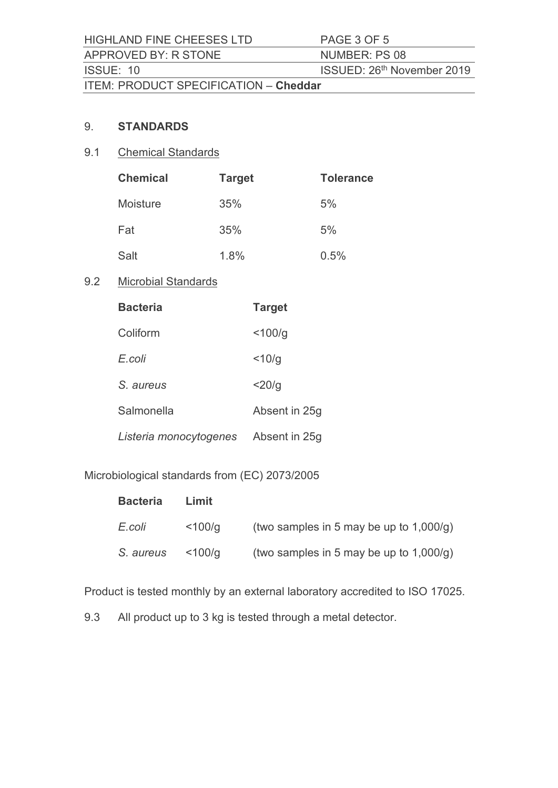HIGHLAND FINE CHEESES LTD PAGE 3 OF 5<br>APPROVED BY: R STONE NUMBER: PS 08<br>ISSUE: 10 ISSUED: 26<sup>th</sup> November 2019<br>ITEM: PRODUCT SPECIFICATION – Cheddar HIGHLAND FINE CHEESES LTD<br>
APPROVED BY: R STONE NUMBER: PS 08<br>
ISSUE: 10 ISSUED: 26<sup>th</sup> November 2019<br>
ITEM: PRODUCT SPECIFICATION – Cheddar HIGHLAND FINE CHEESES LTD PAGE 3 OF 5<br>APPROVED BY: R STONE NUMBER: PS 08<br>ISSUE: 10 ISSUED: 26<sup>th</sup> November 2019<br>ITEM: PRODUCT SPECIFICATION – Cheddar<br>9. STANDARDS ITEM: PRODUCT SPECIFICATION – Cheddar<br>9. STANDARDS

# 9.1 Chemical Standards

|     | HIGHLAND FINE CHEESES LTD             |               | PAGE 3 OF 5                |
|-----|---------------------------------------|---------------|----------------------------|
|     | APPROVED BY: R STONE                  |               | NUMBER: PS 08              |
|     | ISSUE: 10                             |               | ISSUED: 26th November 2019 |
|     | ITEM: PRODUCT SPECIFICATION - Cheddar |               |                            |
|     |                                       |               |                            |
| 9.  | <b>STANDARDS</b>                      |               |                            |
| 9.1 | <b>Chemical Standards</b>             |               |                            |
|     | <b>Chemical</b>                       | <b>Target</b> | <b>Tolerance</b>           |
|     | Moisture                              | 35%           | 5%                         |
|     | Fat                                   | 35%           | 5%                         |
|     | Salt                                  | 1.8%          | 0.5%                       |
| 9.2 | <b>Microbial Standards</b>            |               |                            |
|     | <b>Bacteria</b>                       | <b>Target</b> |                            |
|     | Coliform                              | $<$ 100/g     |                            |
|     | E.coli                                | $<$ 10/g      |                            |
|     | S. aureus                             | $<$ 20/g      |                            |

# 9.2 Microbial Standards

| <b>Bacteria</b>        | <b>Target</b> |
|------------------------|---------------|
| Coliform               | $<$ 100/g     |
| E.coli                 | $<$ 10/g      |
| S. aureus              | $<$ 20/g      |
| Salmonella             | Absent in 25g |
| Listeria monocytogenes | Absent in 25g |

Microbiological standards from (EC) 2073/2005

| <b>Bacteria</b>       | Limit  |                                            |
|-----------------------|--------|--------------------------------------------|
| E.coli                | <100/g | (two samples in 5 may be up to $1,000/q$ ) |
| S. aureus $\lt$ 100/g |        | (two samples in 5 may be up to $1,000/q$ ) |

Product is tested monthly by an external laboratory accredited to ISO 17025.

9.3 All product up to 3 kg is tested through a metal detector.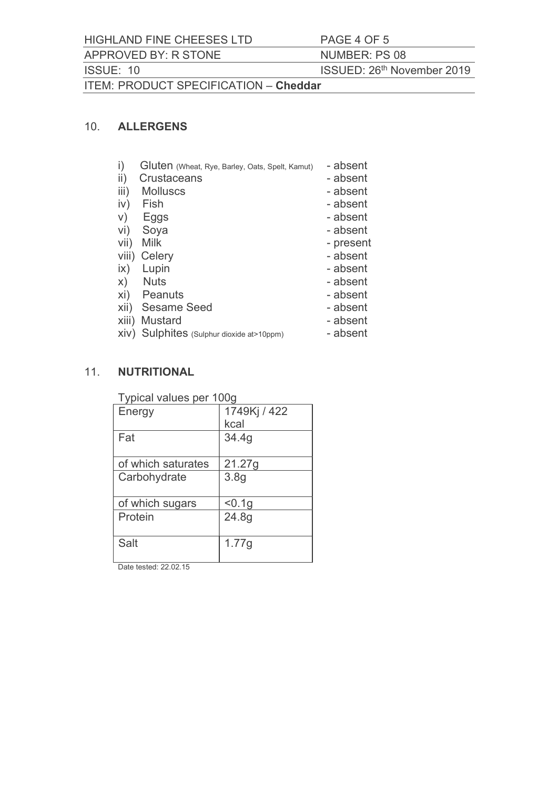HIGHLAND FINE CHEESES LTD PAGE 4 OF 5<br>APPROVED BY: R STONE NUMBER: PS 08<br>ISSUE: 10 ISSUED: 26<sup>th</sup> November 2019<br>ITEM: PRODUCT SPECIFICATION – Cheddar HIGHLAND FINE CHEESES LTD<br>APPROVED BY: R STONE NUMBER: PS 08<br>ISSUE: 10 ISSUED: 26<sup>th</sup> November 2019<br>ITEM: PRODUCT SPECIFICATION – Cheddar HIGHLAND FINE CHEESES LTD PAGE 4 OF 5<br>APPROVED BY: R STONE NUMBER: PS 08<br>ISSUE: 10 ISSUED: 26<sup>th</sup> November 2019<br>ITEM: PRODUCT SPECIFICATION – Cheddar<br>10. ALLERGENS ITEM: PRODUCT SPECIFICATION – Cheddar<br>10. ALLERGENS NIGHLAND FINE CHEESES LTD<br>
APPROVED BY: R STONE NUMBER: PS 08<br>
ISSUE: 10<br>
ITEM: PRODUCT SPECIFICATION – Cheddar<br>
10. ALLERGENS<br>
1) Gluten (Whast, Rye, Barley, Oals, Spelt, Kamut) – absent<br>
11) Crustaceans<br>
11) Virtus<br>
12 HIGHLAND FINE CHEESES LTD PAGE 4 OF 5<br>
APPROVED BY: R STONE NUMBER: PS 08<br>
ISSUE: 10 ISSUED: 26<sup>th</sup> November 2<br>
ITEM: PRODUCT SPECIFICATION – **Cheddar**<br>
10. **ALLERGENS**<br>
i) Gluten (Wheat, Rye, Barley, Oats, Spelt, Kamut) –

- i) Gluten (Wheat, Rye, Barley, Oats, Spelt, Kamut) absent AND FINE CHEESES LTD<br>
DVED BY: R STONE<br>
: 10<br>
ISSUED: 26<sup>th</sup> November 2019<br>
PRODUCT SPECIFICATION – **Cheddar**<br> **ALLERGENS**<br>
ii) Gluten (Wheat, Rye, Barley, Oats, Spelt, Kamut) – absent<br>
iii) Crustaceans<br>
iv) Fish – absent<br> AND FINE CHEESES LTD<br>
2010 PRODUCT SPECIFICATION - Cheddar<br>
2010 SSUED: 26<sup>th</sup> November 2019<br>
PRODUCT SPECIFICATION - Cheddar<br>
2011 SSUED: 26<sup>th</sup> November 2019<br>
2011 Cluten (Wheat Rye, Barley, Oals, Spelt, Kamut) - absent<br> NND FINE CHEESES LTD PAGE 4 OF 5<br>
10<br>
10<br>
10<br>
2 (10<br>
2 (10<br>
2 (10)<br>
PRODUCT SPECIFICATION – Cheddar<br>
ALLERGENS<br>
2 (1)<br>
Clutten (Wheat, Rye, Barley, Oats, Spati, Kamut) – absent<br>
2 (1)<br>
2 (1)<br>
Clutten (Wheat, Rye, Barley, AND FINE CHEESES LTD<br>
IN THE STONE IN THE SUED: 26<sup>th</sup> November 2019<br>
IT TO ISSUED: 26<sup>th</sup> November 2019<br>
PRODUCT SPECIFICATION – **Cheddar**<br>
ALLERGENS<br>
i) Gluten (Wheat, Rye, Barley, Oals, Spelt, Karnut) – absent<br>
iii) Cru 10 ISSUED: 26<sup>th</sup> November 2019<br>
PRODUCT SPECIFICATION – **Cheddar**<br>
<br> **ALLERGENS**<br>
<br>
<br> **i)** Gluten (weat, Rye, Barley, Oats, Spelt, Kamut) – absent<br>
<br>
<br>
<br> **ii)** Crustacceans – absent<br>
<br>
<br> **iii)** Molluscs<br>
<br>
<br>
vi) Seggs<br>
<br> PRODUCT SPECIFICATION - Cheddar<br>
ALLERGENS<br>
i) Gluten <sub>(Wheat, Rye, Barley, Oals, Spelt, Kamut)</sub> - absent<br>
ii) Mustucs<br>
ii) Mislows - absent<br>
iv) Fish - absent<br>
v) Eggs - absent<br>
vi) Svya<br>
vii) Mustard - absent<br>
x) Nuts -
- ii) Crustaceans absent
- iii) Molluscs<br>iv) Fish absent
- 
- 
- 
- 
- 
- 
- x) Nuts absent
- xi) Peanuts absent
- 
- 
- xiv) Sulphites (Sulphur dioxide at>10ppm) absent

### 11. NUTRITIONAL

| ,,,,<br><b>UNIONUS</b><br>iv)<br>Fish<br>V)<br>Eggs<br>vi)<br>Soya<br>Vii)<br><b>Milk</b><br>viii) Celery<br>$\mathsf{ix})$<br>Lupin<br><b>Nuts</b><br>X)<br>xi) Peanuts<br>xii) Sesame Seed<br>xiii) Mustard<br>XIV) Sulphites (Sulphur dioxide at>10ppm) |                      | <b>UNJVIII</b><br>- absent<br>- absent<br>- absent<br>- present<br>- absent<br>- absent<br>- absent<br>- absent<br>- absent<br>- absent<br>- absent |
|------------------------------------------------------------------------------------------------------------------------------------------------------------------------------------------------------------------------------------------------------------|----------------------|-----------------------------------------------------------------------------------------------------------------------------------------------------|
| <b>NUTRITIONAL</b>                                                                                                                                                                                                                                         |                      |                                                                                                                                                     |
| Typical values per 100g                                                                                                                                                                                                                                    |                      |                                                                                                                                                     |
| Energy                                                                                                                                                                                                                                                     | 1749Kj / 422<br>kcal |                                                                                                                                                     |
| Fat                                                                                                                                                                                                                                                        | 34.4g                |                                                                                                                                                     |
| of which saturates                                                                                                                                                                                                                                         | 21.27g               |                                                                                                                                                     |
| Carbohydrate                                                                                                                                                                                                                                               | 3.8g                 |                                                                                                                                                     |
| of which sugars                                                                                                                                                                                                                                            | < 0.1g               |                                                                                                                                                     |
| Protein                                                                                                                                                                                                                                                    | 24.8g                |                                                                                                                                                     |
| Salt                                                                                                                                                                                                                                                       | 1.77g                |                                                                                                                                                     |
| Date tested: 22.02.15                                                                                                                                                                                                                                      |                      |                                                                                                                                                     |